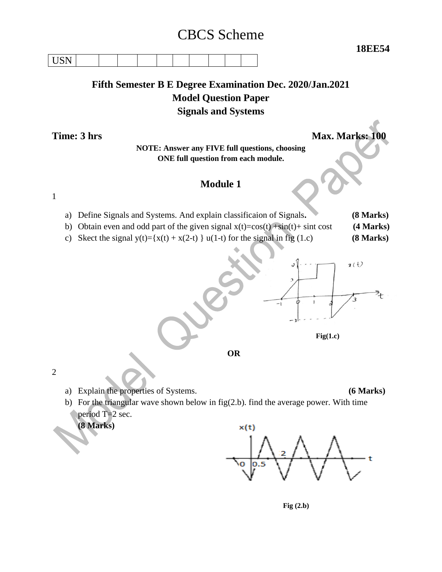# CBCS Scheme

**18EE54**

| $\mathbf{r}$ $\mathbf{r}$<br>, <u>. .</u> |  |  |  |  |  |
|-------------------------------------------|--|--|--|--|--|
|-------------------------------------------|--|--|--|--|--|

# **Fifth Semester B E Degree Examination Dec. 2020/Jan.2021 Model Question Paper Signals and Systems**

**Time: 3 hrs Max. Marks: 100** 

### **NOTE: Answer any FIVE full questions, choosing ONE full question from each module.**

# **Module 1**

1

- a) Define Signals and Systems. And explain classificaion of Signals**. (8 Marks)**
- b) Obtain even and odd part of the given signal  $x(t)=cos(t) + sin(t) + sin(t)$  (4 Marks)
- c) Skect the signal  $y(t) = {x(t) + x(2-t)}$  u(1-t) for the signal in fig (1.c) **(8 Marks)**



2

a) Explain the properties of Systems. **(6 Marks)**

b) For the triangular wave shown below in fig(2.b). find the average power. With time period T=2 sec.

**(8 Marks)**



 **Fig (2.b)**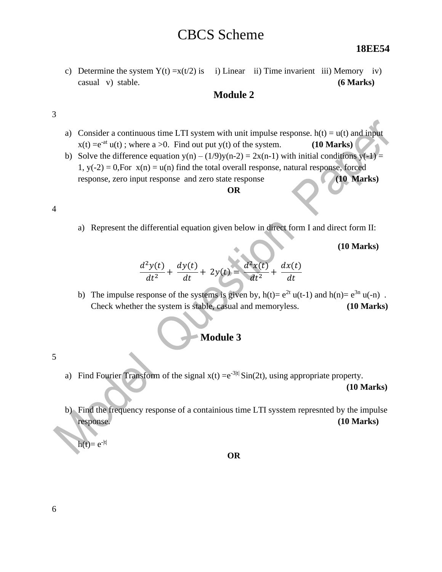# CBCS Scheme

#### **18EE54**

c) Determine the system  $Y(t) = x(t/2)$  is i) Linear ii) Time invarient iii) Memory iv) casual v) stable. **(6 Marks)**

### **Module 2**

#### 3

- a) Consider a continuous time LTI system with unit impulse response.  $h(t) = u(t)$  and input  $x(t) = e^{-at} u(t)$ ; where  $a > 0$ . Find out put y(t) of the system. **(10 Marks)**
- b) Solve the difference equation y(n)  $(1/9)y(n-2) = 2x(n-1)$  with initial conditions y(-1) = 1,  $y(-2) = 0$ , For  $x(n) = u(n)$  find the total overall response, natural response, forced response, zero input response and zero state response **(10 Marks)**

#### **OR**

#### 4

a) Represent the differential equation given below in direct form I and direct form II:

**(10 Marks)**

$$
\frac{d^2y(t)}{dt^2} + \frac{dy(t)}{dt} + 2y(t) = \frac{d^2x(t)}{dt^2} + \frac{dx(t)}{dt}
$$

b) The impulse response of the systems is given by,  $h(t)= e^{2t} u(t-1)$  and  $h(n)= e^{3n} u(-n)$ . Check whether the system is stable, casual and memoryless. **(10 Marks)**

## **Module 3**

- 5
- a) Find Fourier Transform of the signal  $x(t) = e^{-3|t|} \sin(2t)$ , using appropriate property.

 **(10 Marks)**

b) Find the frequency response of a containious time LTI sysstem represnted by the impulse response. **(10 Marks)**

 $h(t)=e^{-|t|}$ 

**OR**